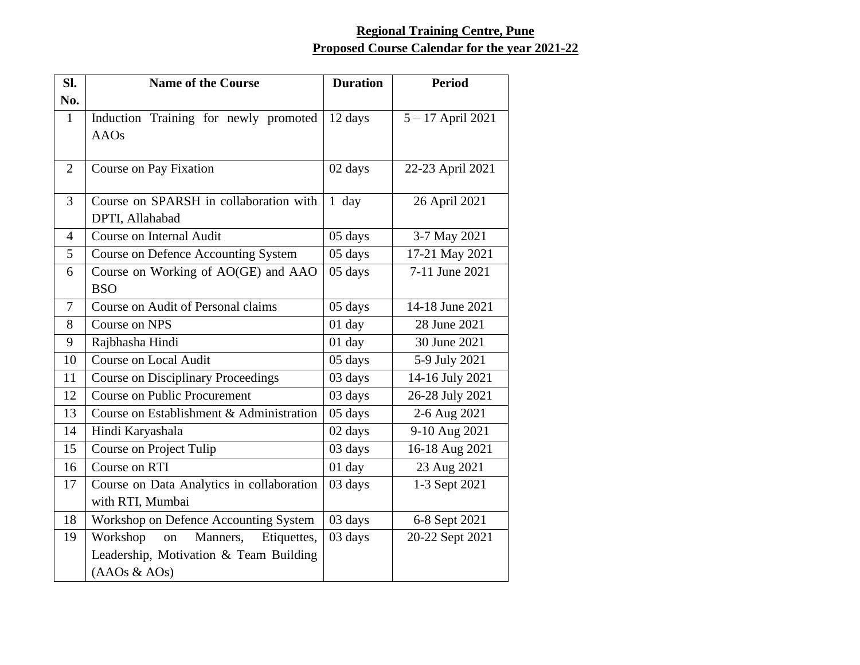## **Regional Training Centre, Pune Proposed Course Calendar for the year 2021-22**

| SI.            | <b>Name of the Course</b>                  | <b>Duration</b> | <b>Period</b>    |
|----------------|--------------------------------------------|-----------------|------------------|
| No.            |                                            |                 |                  |
| $\mathbf{1}$   | Induction Training for newly promoted      | 12 days         | 5-17 April 2021  |
|                | <b>AAOs</b>                                |                 |                  |
|                |                                            |                 |                  |
| $\overline{2}$ | Course on Pay Fixation                     | 02 days         | 22-23 April 2021 |
| 3              | Course on SPARSH in collaboration with     | $1$ day         | 26 April 2021    |
|                | DPTI, Allahabad                            |                 |                  |
| $\overline{4}$ | Course on Internal Audit                   | 05 days         | 3-7 May 2021     |
| 5              | <b>Course on Defence Accounting System</b> | 05 days         | 17-21 May 2021   |
| 6              | Course on Working of AO(GE) and AAO        | 05 days         | 7-11 June 2021   |
|                | <b>BSO</b>                                 |                 |                  |
| $\tau$         | Course on Audit of Personal claims         | 05 days         | 14-18 June 2021  |
| 8              | Course on NPS                              | $01$ day        | 28 June 2021     |
| 9              | Rajbhasha Hindi                            | 01 day          | 30 June 2021     |
| 10             | <b>Course on Local Audit</b>               | 05 days         | 5-9 July 2021    |
| 11             | <b>Course on Disciplinary Proceedings</b>  | 03 days         | 14-16 July 2021  |
| 12             | <b>Course on Public Procurement</b>        | 03 days         | 26-28 July 2021  |
| 13             | Course on Establishment & Administration   | 05 days         | 2-6 Aug 2021     |
| 14             | Hindi Karyashala                           | 02 days         | 9-10 Aug 2021    |
| 15             | Course on Project Tulip                    | 03 days         | 16-18 Aug 2021   |
| 16             | Course on RTI                              | $01$ day        | 23 Aug 2021      |
| 17             | Course on Data Analytics in collaboration  | 03 days         | 1-3 Sept 2021    |
|                | with RTI, Mumbai                           |                 |                  |
| 18             | Workshop on Defence Accounting System      | 03 days         | 6-8 Sept 2021    |
| 19             | Workshop<br>Manners,<br>Etiquettes,<br>on  | 03 days         | 20-22 Sept 2021  |
|                | Leadership, Motivation & Team Building     |                 |                  |
|                | (AAOs & AOs)                               |                 |                  |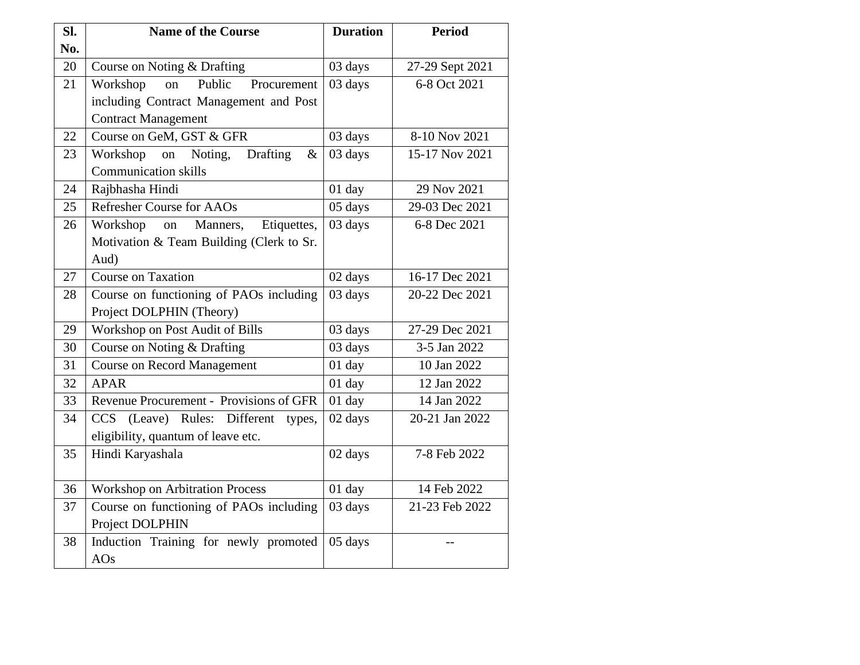| SI. | <b>Name of the Course</b>                     | <b>Duration</b> | <b>Period</b>   |
|-----|-----------------------------------------------|-----------------|-----------------|
| No. |                                               |                 |                 |
| 20  | Course on Noting & Drafting                   | 03 days         | 27-29 Sept 2021 |
| 21  | Public<br>Workshop<br>Procurement<br>on       | 03 days         | 6-8 Oct 2021    |
|     | including Contract Management and Post        |                 |                 |
|     | <b>Contract Management</b>                    |                 |                 |
| 22  | Course on GeM, GST & GFR                      | 03 days         | 8-10 Nov 2021   |
| 23  | Noting,<br>Workshop<br>Drafting<br>on<br>$\&$ | 03 days         | 15-17 Nov 2021  |
|     | <b>Communication skills</b>                   |                 |                 |
| 24  | Rajbhasha Hindi                               | $01$ day        | 29 Nov 2021     |
| 25  | <b>Refresher Course for AAOs</b>              | 05 days         | 29-03 Dec 2021  |
| 26  | Workshop<br>Manners,<br>Etiquettes,<br>on     | 03 days         | 6-8 Dec 2021    |
|     | Motivation & Team Building (Clerk to Sr.      |                 |                 |
|     | Aud)                                          |                 |                 |
| 27  | Course on Taxation                            | 02 days         | 16-17 Dec 2021  |
| 28  | Course on functioning of PAOs including       | 03 days         | 20-22 Dec 2021  |
|     | Project DOLPHIN (Theory)                      |                 |                 |
| 29  | Workshop on Post Audit of Bills               | 03 days         | 27-29 Dec 2021  |
| 30  | Course on Noting & Drafting                   | 03 days         | 3-5 Jan 2022    |
| 31  | <b>Course on Record Management</b>            | 01 day          | 10 Jan 2022     |
| 32  | <b>APAR</b>                                   | $01$ day        | 12 Jan 2022     |
| 33  | Revenue Procurement - Provisions of GFR       | $01$ day        | 14 Jan 2022     |
| 34  | CCS (Leave) Rules: Different<br>types,        | 02 days         | 20-21 Jan 2022  |
|     | eligibility, quantum of leave etc.            |                 |                 |
| 35  | Hindi Karyashala                              | 02 days         | 7-8 Feb 2022    |
|     |                                               |                 |                 |
| 36  | <b>Workshop on Arbitration Process</b>        | $01$ day        | 14 Feb 2022     |
| 37  | Course on functioning of PAOs including       | 03 days         | 21-23 Feb 2022  |
|     | Project DOLPHIN                               |                 |                 |
| 38  | Induction Training for newly promoted         | 05 days         | $-$             |
|     | AOs                                           |                 |                 |